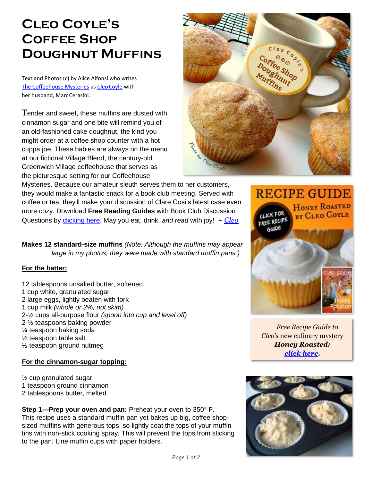## **Cleo Coyle's Coffee Shop Doughnut Muffins**

Text and Photos (c) by Alice Alfonsi who writes [The Coffeehouse Mysteries](http://www.coffeehousemystery.com/about_coffeehouse_mystery_books.cfm) as [CleoCoyle](http://www.cleocoylerecipes.com/p/about_7.html) with her husband, MarcCerasini.

Tender and sweet, these muffins are dusted with cinnamon sugar and one bite will remind you of an old-fashioned cake doughnut, the kind you might order at a coffee shop counter with a hot cuppa joe. These babies are always on the menu at our fictional Village Blend, the century-old Greenwich Village coffeehouse that serves as the picturesque setting for our Coffeehouse

Mysteries. Because our amateur sleuth serves them to her customers, they would make a fantastic snack for a book club meeting. Served with coffee or tea, they'll make your discussion of Clare Cosi's latest case even more cozy. Download **Free Reading Guides** with Book Club Discussion Questions by [clicking here.](https://cleocoylebooks.com/2015/09/01/free-reading-guides-book-club-discussion-questions/) May you eat, drink, *and read* with joy! *~ [Cleo](http://www.cleocoylerecipes.com/p/about_7.html)*

**Makes 12 standard-size muffins** *(Note: Although the muffins may appear large in my photos, they were made with standard muffin pans.)*

## **For the batter:**

12 tablespoons unsalted butter, softened 1 cup white, granulated sugar 2 large eggs, lightly beaten with fork 1 cup milk *(whole or 2%, not skim)* 2-½ cups all-purpose flour *(spoon into cup and level off)* 2-½ teaspoons baking powder ¼ teaspoon baking soda ½ teaspoon table salt ½ teaspoon ground nutmeg

## **For the cinnamon-sugar topping:**

½ cup granulated sugar 1 teaspoon ground cinnamon 2 tablespoons butter, melted

**Step 1—Prep your oven and pan:** Preheat your oven to 350° F. This recipe uses a standard muffin pan yet bakes up big, coffee shopsized muffins with generous tops, so lightly coat the tops of your muffin tins with non-stick cooking spray. This will prevent the tops from sticking to the pan. Line muffin cups with paper holders.





*[Free Recipe Guide to](https://www.coffeehousemystery.com/userfiles/file/Honey-Roasted-Recipe-Guide-Cleo-Coyle.pdf)  Cleo's* new culinary mystery *Honey Roasted: [click here.](https://www.coffeehousemystery.com/userfiles/file/Honey-Roasted-Recipe-Guide-Cleo-Coyle.pdf)*